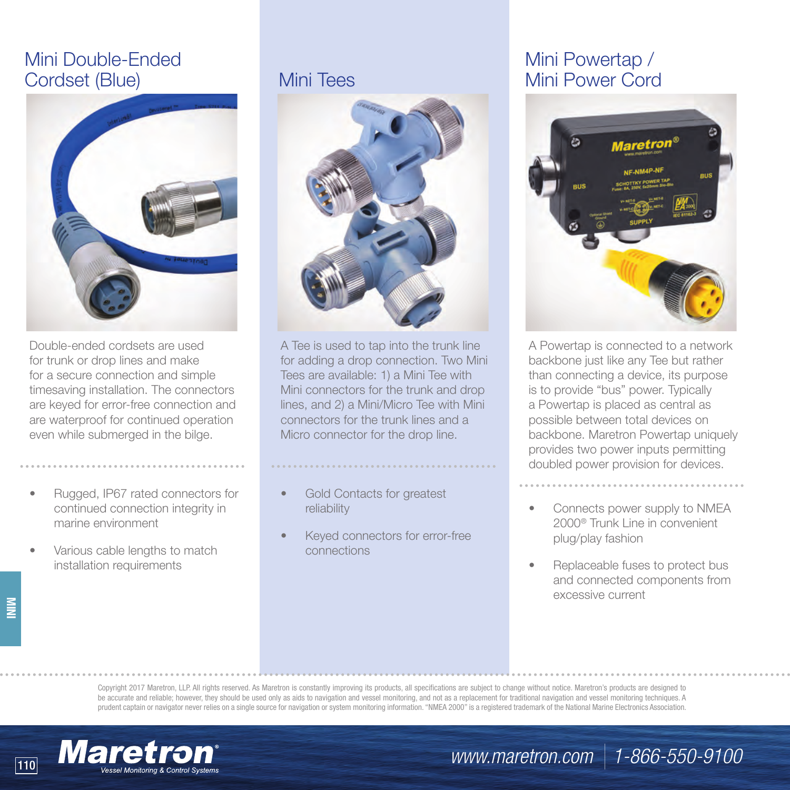# Mini Double-Ended Cordset (Blue)



Double-ended cordsets are used for trunk or drop lines and make for a secure connection and simple timesaving installation. The connectors are keyed for error-free connection and are waterproof for continued operation even while submerged in the bilge.

- Rugged, IP67 rated connectors for continued connection integrity in marine environment
- Various cable lengths to match installation requirements

**MINI**



A Tee is used to tap into the trunk line for adding a drop connection. Two Mini Tees are available: 1) a Mini Tee with Mini connectors for the trunk and drop lines, and 2) a Mini/Micro Tee with Mini connectors for the trunk lines and a Micro connector for the drop line.

Gold Contacts for greatest reliability

Keyed connectors for error-free connections

# Mini Powertap / Mini Tees Mini Power Cord



A Powertap is connected to a network backbone just like any Tee but rather than connecting a device, its purpose is to provide "bus" power. Typically a Powertap is placed as central as possible between total devices on backbone. Maretron Powertap uniquely provides two power inputs permitting doubled power provision for devices.

- Connects power supply to NMEA 2000® Trunk Line in convenient plug/play fashion
- Replaceable fuses to protect bus and connected components from excessive current

Copyright 2017 Maretron, LLP. All rights reserved. As Maretron is constantly improving its products, all specifications are subject to change without notice. Maretron's products are designed to be accurate and reliable; however, they should be used only as aids to navigation and vessel monitoring, and not as a replacement for traditional navigation and vessel monitoring techniques. A prudent captain or navigator never relies on a single source for navigation or system monitoring information. "NMEA 2000" is a registered trademark of the National Marine Electronics Association